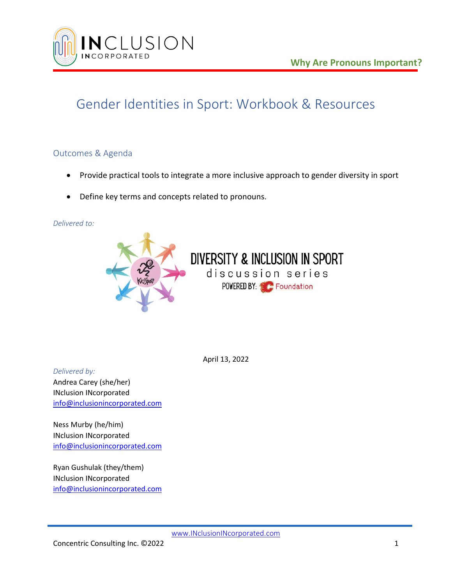

## Gender Identities in Sport: Workbook & Resources

### Outcomes & Agenda

• Provide practical tools to integrate a more inclusive approach to gender diversity in sport

discussion series POWERED BY: C. Foundation

• Define key terms and concepts related to pronouns.

#### *Delivered to:*



April 13, 2022

*Delivered by:* Andrea Carey (she/her) INclusion INcorporated [info@inclusionincorporated.com](mailto:info@inclusionincorporated.com)

Ness Murby (he/him) INclusion INcorporated [info@inclusionincorporated.com](mailto:info@inclusionincorporated.com)

Ryan Gushulak (they/them) INclusion INcorporated [info@inclusionincorporated.com](mailto:info@inclusionincorporated.com)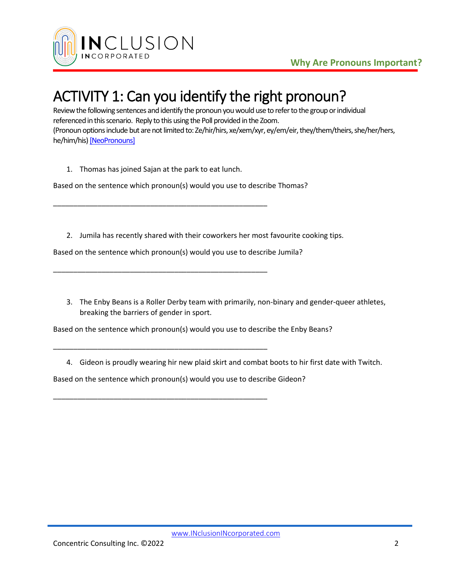

# ACTIVITY 1: Can you identify the right pronoun?

Review the following sentences and identify the pronoun you would use to refer to the group or individual referenced in this scenario. Reply to this using the Poll provided in the Zoom. (Pronoun options include but are not limited to: Ze/hir/hirs, xe/xem/xyr, ey/em/eir, they/them/theirs, she/her/hers, he/him/his[\) \[NeoPronouns\]](https://intercultural.uncg.edu/wp-content/uploads/Neopronouns-Explained-UNCG-Intercultural-Engagement.pdf)

1. Thomas has joined Sajan at the park to eat lunch.

\_\_\_\_\_\_\_\_\_\_\_\_\_\_\_\_\_\_\_\_\_\_\_\_\_\_\_\_\_\_\_\_\_\_\_\_\_\_\_\_\_\_\_\_\_\_\_\_\_\_\_\_\_

\_\_\_\_\_\_\_\_\_\_\_\_\_\_\_\_\_\_\_\_\_\_\_\_\_\_\_\_\_\_\_\_\_\_\_\_\_\_\_\_\_\_\_\_\_\_\_\_\_\_\_\_\_

\_\_\_\_\_\_\_\_\_\_\_\_\_\_\_\_\_\_\_\_\_\_\_\_\_\_\_\_\_\_\_\_\_\_\_\_\_\_\_\_\_\_\_\_\_\_\_\_\_\_\_\_\_

\_\_\_\_\_\_\_\_\_\_\_\_\_\_\_\_\_\_\_\_\_\_\_\_\_\_\_\_\_\_\_\_\_\_\_\_\_\_\_\_\_\_\_\_\_\_\_\_\_\_\_\_\_

Based on the sentence which pronoun(s) would you use to describe Thomas?

2. Jumila has recently shared with their coworkers her most favourite cooking tips.

Based on the sentence which pronoun(s) would you use to describe Jumila?

3. The Enby Beans is a Roller Derby team with primarily, non-binary and gender-queer athletes, breaking the barriers of gender in sport.

Based on the sentence which pronoun(s) would you use to describe the Enby Beans?

4. Gideon is proudly wearing hir new plaid skirt and combat boots to hir first date with Twitch.

Based on the sentence which pronoun(s) would you use to describe Gideon?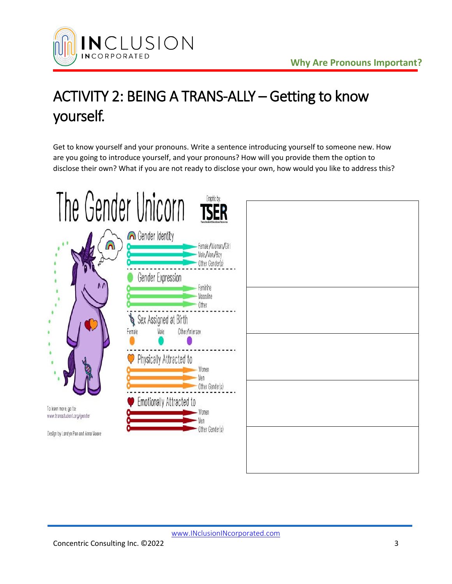

# ACTIVITY 2: BEING A TRANS-ALLY – Getting to know yourself.

Get to know yourself and your pronouns. Write a sentence introducing yourself to someone new. How are you going to introduce yourself, and your pronouns? How will you provide them the option to disclose their own? What if you are not ready to disclose your own, how would you like to address this?

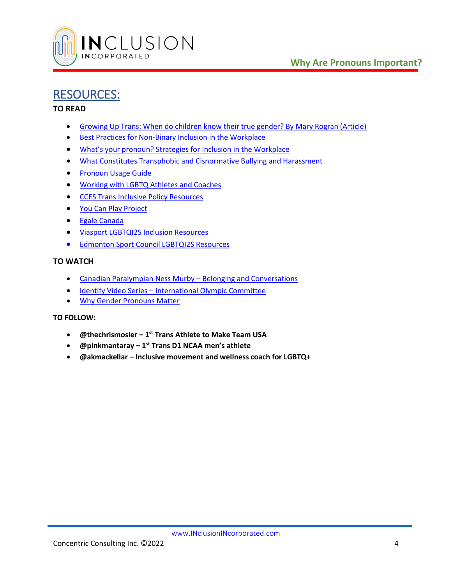

### RESOURCES:

### **TO READ**

- [Growing Up Trans: When do children know their true gender? By Mary Rogran \(Article\)](https://thewalrus.ca/growing-up-trans/)
- [Best Practices for Non-Binary Inclusion in the Workplace](https://outandequal.org/wp-content/uploads/2018/11/OE-Non-Binary-Best-Practices.pdf)
- [What's your pronoun? Strategies for Inclusion in the Workplace](https://outandequal.org/wp-content/uploads/2021/05/Pronouns-Guide_final.pdf)
- [What Constitutes Transphobic and Cisnormative Bullying and Harassment](https://www.gov.nl.ca/education/files/k12_safeandcaring_pdf_transphobic_cisnormative_bullying_harassment.pdf)
- [Pronoun Usage Guide](https://egale.ca/awareness/pronoun-usage-guide/)
- [Working with LGBTQ Athletes and Coaches](https://coach.ca/working-lgbtq-athletes-and-coaches)
- [CCES Trans Inclusive Policy Resources](https://cces.ca/sex-and-gender-diversity)
- [You Can Play Project](https://www.youcanplayproject.org/)
- [Egale Canada](https://egale.ca/)
- [Viasport LGBTQI2S Inclusion Resources](https://www.viasport.ca/inclusion/lgbtqi2s)
- [Edmonton Sport Council LGBTQI2S Resources](https://www.edmontonsport.com/organization_resources/under_represented_populations/lgbtqi2s)

### **TO WATCH**

- Canadian Paralympian Ness Murby [Belonging and Conversations](https://www.youtube.com/watch?v=vAVNYIHRTp0)
- Identify Video Series [International Olympic Committee](https://olympics.com/en/search/videos/?q=Identify)
- [Why Gender Pronouns Matter](https://www.youtube.com/watch?v=9iKHjl5xAaA)

### **TO FOLLOW:**

- **@thechrismosier – 1 st Trans Athlete to Make Team USA**
- **@pinkmantaray – 1 st Trans D1 NCAA men's athlete**
- **@akmackellar – Inclusive movement and wellness coach for LGBTQ+**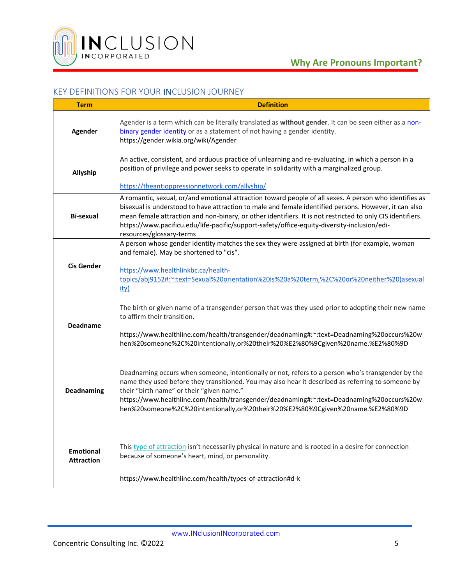

### KEY DEFINITIONS FOR YOUR INCLUSION JOURNEY

| <b>Term</b>                           | <b>Definition</b>                                                                                                                                                                                                                                                                                                                                                                                                                                        |
|---------------------------------------|----------------------------------------------------------------------------------------------------------------------------------------------------------------------------------------------------------------------------------------------------------------------------------------------------------------------------------------------------------------------------------------------------------------------------------------------------------|
| <b>Agender</b>                        | Agender is a term which can be literally translated as without gender. It can be seen either as a non-<br>binary gender identity or as a statement of not having a gender identity.<br>https://gender.wikia.org/wiki/Agender                                                                                                                                                                                                                             |
| Allyship                              | An active, consistent, and arduous practice of unlearning and re-evaluating, in which a person in a<br>position of privilege and power seeks to operate in solidarity with a marginalized group.<br>https://theantioppressionnetwork.com/allyship/                                                                                                                                                                                                       |
| Bi-sexual                             | A romantic, sexual, or/and emotional attraction toward people of all sexes. A person who identifies as<br>bisexual is understood to have attraction to male and female identified persons. However, it can also<br>mean female attraction and non-binary, or other identifiers. It is not restricted to only CIS identifiers.<br>https://www.pacificu.edu/life-pacific/support-safety/office-equity-diversity-inclusion/edi-<br>resources/glossary-terms |
| <b>Cis Gender</b>                     | A person whose gender identity matches the sex they were assigned at birth (for example, woman<br>and female). May be shortened to "cis".<br>https://www.healthlinkbc.ca/health-<br>topics/abj9152#:~:text=Sexual%20orientation%20is%20a%20term,%2C%20or%20neither%20(asexual<br><u>ity)</u>                                                                                                                                                             |
| <b>Deadname</b>                       | The birth or given name of a transgender person that was they used prior to adopting their new name<br>to affirm their transition.<br>https://www.healthline.com/health/transgender/deadnaming#:~:text=Deadnaming%20occurs%20w<br>hen%20someone%2C%20intentionally,or%20their%20%E2%80%9Cgiven%20name.%E2%80%9D                                                                                                                                          |
| Deadnaming                            | Deadnaming occurs when someone, intentionally or not, refers to a person who's transgender by the<br>name they used before they transitioned. You may also hear it described as referring to someone by<br>their "birth name" or their "given name."<br>https://www.healthline.com/health/transgender/deadnaming#:~:text=Deadnaming%20occurs%20w<br>hen%20someone%2C%20intentionally,or%20their%20%E2%80%9Cgiven%20name.%E2%80%9D                        |
| <b>Emotional</b><br><b>Attraction</b> | This type of attraction isn't necessarily physical in nature and is rooted in a desire for connection<br>because of someone's heart, mind, or personality.<br>https://www.healthline.com/health/types-of-attraction#d-k                                                                                                                                                                                                                                  |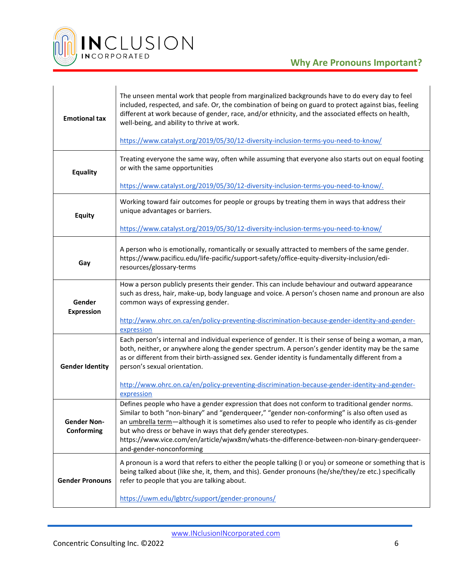

| <b>Emotional tax</b>             | The unseen mental work that people from marginalized backgrounds have to do every day to feel<br>included, respected, and safe. Or, the combination of being on guard to protect against bias, feeling<br>different at work because of gender, race, and/or ethnicity, and the associated effects on health,<br>well-being, and ability to thrive at work.<br>https://www.catalyst.org/2019/05/30/12-diversity-inclusion-terms-you-need-to-know/                             |
|----------------------------------|------------------------------------------------------------------------------------------------------------------------------------------------------------------------------------------------------------------------------------------------------------------------------------------------------------------------------------------------------------------------------------------------------------------------------------------------------------------------------|
| <b>Equality</b>                  | Treating everyone the same way, often while assuming that everyone also starts out on equal footing<br>or with the same opportunities                                                                                                                                                                                                                                                                                                                                        |
|                                  | https://www.catalyst.org/2019/05/30/12-diversity-inclusion-terms-you-need-to-know/.                                                                                                                                                                                                                                                                                                                                                                                          |
| <b>Equity</b>                    | Working toward fair outcomes for people or groups by treating them in ways that address their<br>unique advantages or barriers.                                                                                                                                                                                                                                                                                                                                              |
|                                  | https://www.catalyst.org/2019/05/30/12-diversity-inclusion-terms-you-need-to-know/                                                                                                                                                                                                                                                                                                                                                                                           |
| Gay                              | A person who is emotionally, romantically or sexually attracted to members of the same gender.<br>https://www.pacificu.edu/life-pacific/support-safety/office-equity-diversity-inclusion/edi-<br>resources/glossary-terms                                                                                                                                                                                                                                                    |
| Gender<br><b>Expression</b>      | How a person publicly presents their gender. This can include behaviour and outward appearance<br>such as dress, hair, make-up, body language and voice. A person's chosen name and pronoun are also<br>common ways of expressing gender.                                                                                                                                                                                                                                    |
|                                  | http://www.ohrc.on.ca/en/policy-preventing-discrimination-because-gender-identity-and-gender-<br>expression                                                                                                                                                                                                                                                                                                                                                                  |
| <b>Gender Identity</b>           | Each person's internal and individual experience of gender. It is their sense of being a woman, a man,<br>both, neither, or anywhere along the gender spectrum. A person's gender identity may be the same<br>as or different from their birth-assigned sex. Gender identity is fundamentally different from a<br>person's sexual orientation.<br>http://www.ohrc.on.ca/en/policy-preventing-discrimination-because-gender-identity-and-gender-                              |
|                                  | expression                                                                                                                                                                                                                                                                                                                                                                                                                                                                   |
| <b>Gender Non-</b><br>Conforming | Defines people who have a gender expression that does not conform to traditional gender norms.<br>Similar to both "non-binary" and "genderqueer," "gender non-conforming" is also often used as<br>an <i>umbrella term</i> —although it is sometimes also used to refer to people who identify as cis-gender<br>but who dress or behave in ways that defy gender stereotypes.<br>https://www.vice.com/en/article/wjwx8m/whats-the-difference-between-non-binary-genderqueer- |
|                                  | and-gender-nonconforming                                                                                                                                                                                                                                                                                                                                                                                                                                                     |
| <b>Gender Pronouns</b>           | A pronoun is a word that refers to either the people talking (I or you) or someone or something that is<br>being talked about (like she, it, them, and this). Gender pronouns (he/she/they/ze etc.) specifically<br>refer to people that you are talking about.                                                                                                                                                                                                              |
|                                  | https://uwm.edu/lgbtrc/support/gender-pronouns/                                                                                                                                                                                                                                                                                                                                                                                                                              |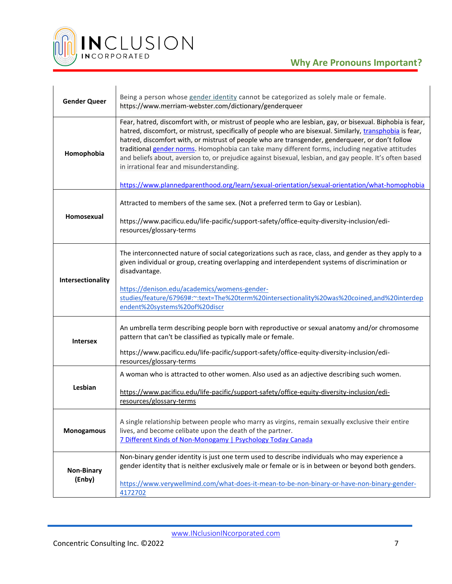

| <b>Gender Queer</b>         | Being a person whose gender identity cannot be categorized as solely male or female.<br>https://www.merriam-webster.com/dictionary/genderqueer                                                                                                                                                                                                                                                                                                                                                                                                                                                                                                                                          |
|-----------------------------|-----------------------------------------------------------------------------------------------------------------------------------------------------------------------------------------------------------------------------------------------------------------------------------------------------------------------------------------------------------------------------------------------------------------------------------------------------------------------------------------------------------------------------------------------------------------------------------------------------------------------------------------------------------------------------------------|
| Homophobia                  | Fear, hatred, discomfort with, or mistrust of people who are lesbian, gay, or bisexual. Biphobia is fear,<br>hatred, discomfort, or mistrust, specifically of people who are bisexual. Similarly, transphobia is fear,<br>hatred, discomfort with, or mistrust of people who are transgender, genderqueer, or don't follow<br>traditional gender norms. Homophobia can take many different forms, including negative attitudes<br>and beliefs about, aversion to, or prejudice against bisexual, lesbian, and gay people. It's often based<br>in irrational fear and misunderstanding.<br>https://www.plannedparenthood.org/learn/sexual-orientation/sexual-orientation/what-homophobia |
| Homosexual                  | Attracted to members of the same sex. (Not a preferred term to Gay or Lesbian).<br>https://www.pacificu.edu/life-pacific/support-safety/office-equity-diversity-inclusion/edi-<br>resources/glossary-terms                                                                                                                                                                                                                                                                                                                                                                                                                                                                              |
| Intersectionality           | The interconnected nature of social categorizations such as race, class, and gender as they apply to a<br>given individual or group, creating overlapping and interdependent systems of discrimination or<br>disadvantage.<br>https://denison.edu/academics/womens-gender-<br>studies/feature/67969#:~:text=The%20term%20intersectionality%20was%20coined,and%20interdep<br>endent%20systems%20of%20discr                                                                                                                                                                                                                                                                               |
| <b>Intersex</b>             | An umbrella term describing people born with reproductive or sexual anatomy and/or chromosome<br>pattern that can't be classified as typically male or female.<br>https://www.pacificu.edu/life-pacific/support-safety/office-equity-diversity-inclusion/edi-<br>resources/glossary-terms                                                                                                                                                                                                                                                                                                                                                                                               |
| Lesbian                     | A woman who is attracted to other women. Also used as an adjective describing such women.<br>https://www.pacificu.edu/life-pacific/support-safety/office-equity-diversity-inclusion/edi-<br>resources/glossary-terms                                                                                                                                                                                                                                                                                                                                                                                                                                                                    |
| <b>Monogamous</b>           | A single relationship between people who marry as virgins, remain sexually exclusive their entire<br>lives, and become celibate upon the death of the partner.<br>7 Different Kinds of Non-Monogamy   Psychology Today Canada                                                                                                                                                                                                                                                                                                                                                                                                                                                           |
| <b>Non-Binary</b><br>(Enby) | Non-binary gender identity is just one term used to describe individuals who may experience a<br>gender identity that is neither exclusively male or female or is in between or beyond both genders.<br>https://www.verywellmind.com/what-does-it-mean-to-be-non-binary-or-have-non-binary-gender-<br>4172702                                                                                                                                                                                                                                                                                                                                                                           |